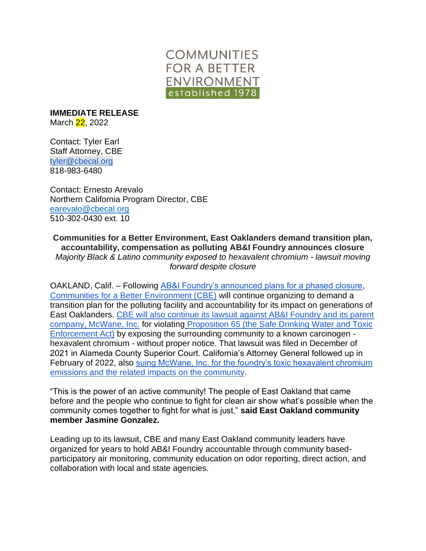

**IMMEDIATE RELEASE**

March 22, 2022

Contact: Tyler Earl Staff Attorney, CBE [tyler@cbecal.org](mailto:tyler@cbecal.org) 818-983-6480

Contact: Ernesto Arevalo Northern California Program Director, CBE earevalo@cbecal.org 510-302-0430 ext. 10

**Communities for a Better Environment, East Oaklanders demand transition plan, accountability, compensation as polluting AB&I Foundry announces closure** *Majority Black & Latino community exposed to hexavalent chromium - lawsuit moving forward despite closure*

OAKLAND, Calif. – Following [AB&I Foundry's announced plans for a phased closure](https://oaklandside.org/2022/03/11/abi-foundry-in-east-oakland-announces-permanent-closure/)[,](https://www.cbecal.org/) [Communities for a Better Environment \(CBE\)](https://www.cbecal.org/) will continue organizing to demand a transition plan for the polluting facility and accountability for its impact on generations of East Oaklanders. [CBE will also continue its lawsuit against AB&I Foundry and its parent](https://www.cbecal.org/community-group-sues-east-oaklands-abi-foundry-for-violating-prop-65-majority-black-latinx-community-exposed-to-known-carcinogen-hexavalent-chromium/)  [company, McWane, Inc.](https://www.cbecal.org/community-group-sues-east-oaklands-abi-foundry-for-violating-prop-65-majority-black-latinx-community-exposed-to-known-carcinogen-hexavalent-chromium/) for violating [Proposition 65 \(the Safe Drinking Water and Toxic](https://oehha.ca.gov/proposition-65/about-proposition-65)  [Enforcement Act\)](https://oehha.ca.gov/proposition-65/about-proposition-65) by exposing the surrounding community to a known carcinogen hexavalent chromium - without proper notice. That lawsuit was filed in December of 2021 in Alameda County Superior Court. California's Attorney General followed up in February of 2022, also [suing McWane, Inc. for the foundry's toxic hexavalent chromium](https://oag.ca.gov/news/press-releases/attorney-general-bonta-files-lawsuit-against-east-oakland-metal-foundry-over)  [emissions and the related impacts on the community.](https://oag.ca.gov/news/press-releases/attorney-general-bonta-files-lawsuit-against-east-oakland-metal-foundry-over)

"This is the power of an active community! The people of East Oakland that came before and the people who continue to fight for clean air show what's possible when the community comes together to fight for what is just," **said East Oakland community member Jasmine Gonzalez.** 

Leading up to its lawsuit, CBE and many East Oakland community leaders have organized for years to hold AB&I Foundry accountable through community basedparticipatory air monitoring, community education on odor reporting, direct action, and collaboration with local and state agencies.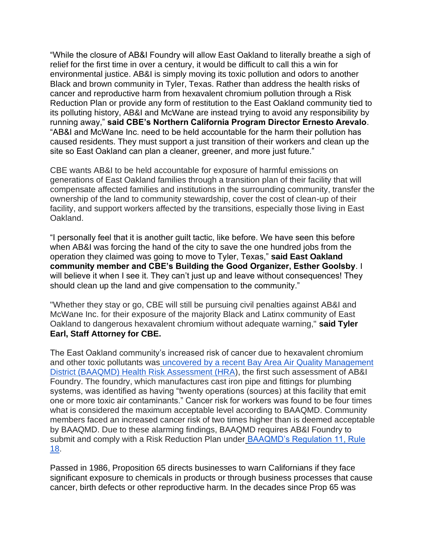"While the closure of AB&I Foundry will allow East Oakland to literally breathe a sigh of relief for the first time in over a century, it would be difficult to call this a win for environmental justice. AB&I is simply moving its toxic pollution and odors to another Black and brown community in Tyler, Texas. Rather than address the health risks of cancer and reproductive harm from hexavalent chromium pollution through a Risk Reduction Plan or provide any form of restitution to the East Oakland community tied to its polluting history, AB&I and McWane are instead trying to avoid any responsibility by running away," **said CBE's Northern California Program Director Ernesto Arevalo**. "AB&I and McWane Inc. need to be held accountable for the harm their pollution has caused residents. They must support a just transition of their workers and clean up the site so East Oakland can plan a cleaner, greener, and more just future."

CBE wants AB&I to be held accountable for exposure of harmful emissions on generations of East Oakland families through a transition plan of their facility that will compensate affected families and institutions in the surrounding community, transfer the ownership of the land to community stewardship, cover the cost of clean-up of their facility, and support workers affected by the transitions, especially those living in East Oakland.

"I personally feel that it is another guilt tactic, like before. We have seen this before when AB&I was forcing the hand of the city to save the one hundred jobs from the operation they claimed was going to move to Tyler, Texas," **said East Oakland community member and CBE's Building the Good Organizer, Esther Goolsby**. I will believe it when I see it. They can't just up and leave without consequences! They should clean up the land and give compensation to the community."

"Whether they stay or go, CBE will still be pursuing civil penalties against AB&I and McWane Inc. for their exposure of the majority Black and Latinx community of East Oakland to dangerous hexavalent chromium without adequate warning," **said Tyler Earl, Staff Attorney for CBE.** 

The East Oakland community's increased risk of cancer due to hexavalent chromium and other toxic pollutants was [uncovered by a recent Bay Area Air Quality Management](https://www.baaqmd.gov/~/media/files/ab617-community-health/facility-risk-reduction/hra-facilities/fid_a0062/draft-hra-abi-foundry-p62-april_2021_approved-pdf.pdf?la=en&rev=c78f4b8e203246698952e712174cdad6)  [District \(BAAQMD\) Health Risk Assessment \(HRA\)](https://www.baaqmd.gov/~/media/files/ab617-community-health/facility-risk-reduction/hra-facilities/fid_a0062/draft-hra-abi-foundry-p62-april_2021_approved-pdf.pdf?la=en&rev=c78f4b8e203246698952e712174cdad6), the first such assessment of AB&I Foundry. The foundry, which manufactures cast iron pipe and fittings for plumbing systems, was identified as having "twenty operations (sources) at this facility that emit one or more toxic air contaminants." Cancer risk for workers was found to be four times what is considered the maximum acceptable level according to BAAQMD. Community members faced an increased cancer risk of two times higher than is deemed acceptable by BAAQMD. Due to these alarming findings, BAAQMD requires AB&I Foundry to submit and comply with a Risk Reduction Plan under [BAAQMD's Regulation 11, Rule](https://www.baaqmd.gov/~/media/files/ab617-community-health/facility-risk-reduction/hra-facilities/rule_11_18_hra_faqs-pdf.pdf?la=en)  [18.](https://www.baaqmd.gov/~/media/files/ab617-community-health/facility-risk-reduction/hra-facilities/rule_11_18_hra_faqs-pdf.pdf?la=en) 

Passed in 1986, Proposition 65 directs businesses to warn Californians if they face significant exposure to chemicals in products or through business processes that cause cancer, birth defects or other reproductive harm. In the decades since Prop 65 was